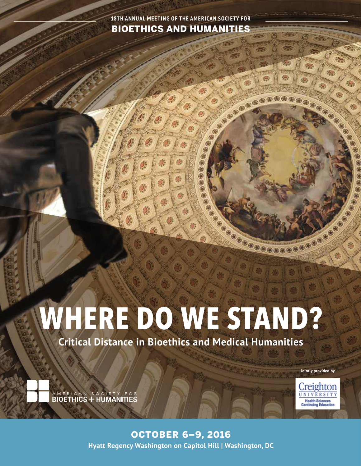**18TH ANNUAL MEETING OF THE AMERICAN SOCIETY FOR** BIOETHICS AND HUMANITIES

C. Cooper

0000000

# **WHERE DO WE STAND?**

**Critical Distance in Bioethics and Medical Humanities**

**Jointly provided by**

Creighton

**Health Sciences** 

**BOOSTON** 



Annual Meeting | October 6–9, 2016 | Washington, DC | 1 **Hyatt Regency Washington on Capitol Hill | Washington, DC** OCTOBER 6–9, 2016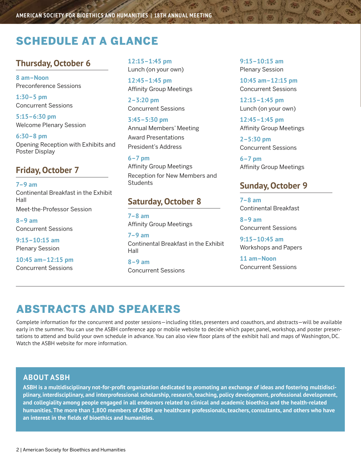# SCHEDULE AT A GLANCE

## **Thursday, October 6**

**8 am–Noon** Preconference Sessions

**1:30–5 pm** Concurrent Sessions

**5:15–6:30 pm** Welcome Plenary Session

**6:30–8 pm** Opening Reception with Exhibits and Poster Display

# **Friday, October 7**

**7–9 am** Continental Breakfast in the Exhibit Hall Meet-the-Professor Session

**8–9 am** Concurrent Sessions

**9:15–10:15 am** Plenary Session

**10:45 am–12:15 pm** Concurrent Sessions

**12:15–1:45 pm** Lunch (on your own)

**12:45–1:45 pm** Affinity Group Meetings

**2–3:20 pm** Concurrent Sessions

**3:45–5:30 pm** Annual Members' Meeting Award Presentations President's Address

**6–7 pm** Affinity Group Meetings Reception for New Members and **Students** 

#### **Saturday, October 8**

**7–8 am** Affinity Group Meetings

**7–9 am** Continental Breakfast in the Exhibit Hall

**8–9 am** Concurrent Sessions **9:15–10:15 am** Plenary Session

**10:45 am–12:15 pm** Concurrent Sessions

**12:15–1:45 pm** Lunch (on your own)

**12:45–1:45 pm** Affinity Group Meetings

**2–5:30 pm**  Concurrent Sessions

**6–7 pm** Affinity Group Meetings

#### **Sunday, October 9**

**7–8 am** Continental Breakfast

**8–9 am** Concurrent Sessions

**9:15–10:45 am** Workshops and Papers

**11 am–Noon** Concurrent Sessions

# ABSTRACTS AND SPEAKERS

Complete information for the concurrent and poster sessions—including titles, presenters and coauthors, and abstracts—will be available early in the summer. You can use the ASBH conference app or mobile website to decide which paper, panel, workshop, and poster presentations to attend and build your own schedule in advance. You can also view floor plans of the exhibit hall and maps of Washington, DC. Watch the ASBH website for more information.

#### **ABOUT ASBH**

**ASBH is a multidisciplinary not-for-profit organization dedicated to promoting an exchange of ideas and fostering multidisciplinary, interdisciplinary, and interprofessional scholarship, research, teaching, policy development, professional development, and collegiality among people engaged in all endeavors related to clinical and academic bioethics and the health-related humanities. The more than 1,800 members of ASBH are healthcare professionals, teachers, consultants, and others who have an interest in the fields of bioethics and humanities.**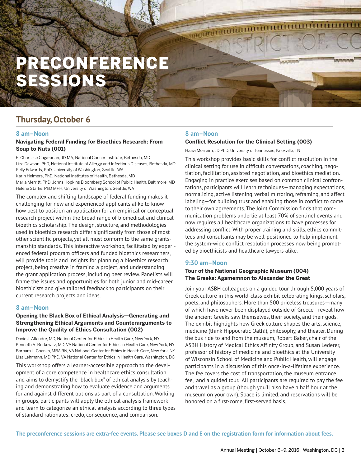# PRECONFERENCE ESSIONS

# **Thursday, October 6**

#### **8 am–Noon**

#### **Navigating Federal Funding for Bioethics Research: From Soup to Nuts (001)**

E. Charlisse Caga-anan, JD MA, National Cancer Institute, Bethesda, MD Liza Dawson, PhD, National Institute of Allergy and Infectious Diseases, Bethesda, MD Kelly Edwards, PhD, University of Washington, Seattle, WA Karin Helmers, PhD, National Institutes of Health, Bethesda, MD Maria Merritt, PhD, Johns Hopkins Bloomberg School of Public Health, Baltimore, MD Helene Starks, PhD MPH, University of Washington, Seattle, WA

The complex and shifting landscape of federal funding makes it challenging for new and experienced applicants alike to know how best to position an application for an empirical or conceptual research project within the broad range of biomedical and clinical bioethics scholarship. The design, structure, and methodologies used in bioethics research differ significantly from those of most other scientific projects, yet all must conform to the same grantsmanship standards. This interactive workshop, facilitated by experienced federal program officers and funded bioethics researchers, will provide tools and insights for planning a bioethics research project, being creative in framing a project, and understanding the grant application process, including peer review. Panelists will frame the issues and opportunities for both junior and mid-career bioethicists and give tailored feedback to participants on their current research projects and ideas.

#### **8 am–Noon**

#### **Opening the Black Box of Ethical Analysis—Generating and Strengthening Ethical Arguments and Counterarguments to Improve the Quality of Ethics Consultation (002)**

David J. Alfandre, MD, National Center for Ethics in Health Care, New York, NY Kenneth A. Berkowitz, MD, VA National Center for Ethics in Health Care, New York, NY Barbara L. Chanko, MBA RN, VA National Center for Ethics in Health Care, New York, NY Lisa Lehmann, MD PhD, VA National Center for Ethics in Health Care, Washington, DC

This workshop offers a learner-accessible approach to the development of a core competence in healthcare ethics consultation and aims to demystify the "black box" of ethical analysis by teaching and demonstrating how to evaluate evidence and arguments for and against different options as part of a consultation. Working in groups, participants will apply the ethical analysis framework and learn to categorize an ethical analysis according to three types of standard rationales: credo, consequence, and comparison.

#### **8 am–Noon**

#### **Conflict Resolution for the Clinical Setting (003)**

Haavi Morreim, JD PhD, University of Tennessee, Knoxville, TN

This workshop provides basic skills for conflict resolution in the clinical setting for use in difficult conversations, coaching, negotiation, facilitation, assisted negotiation, and bioethics mediation. Engaging in practice exercises based on common clinical confrontations, participants will learn techniques—managing expectations, normalizing, active listening, verbal mirroring, reframing, and affect labeling—for building trust and enabling those in conflict to come to their own agreements. The Joint Commission finds that communication problems underlie at least 70% of sentinel events and now requires all healthcare organizations to have processes for addressing conflict. With proper training and skills, ethics committees and consultants may be well-positioned to help implement the system-wide conflict resolution processes now being promoted by bioethicists and healthcare lawyers alike.

#### **9:30 am–Noon**

#### **Tour of the National Geographic Museum (004) The Greeks: Agamemnon to Alexander the Great**

Join your ASBH colleagues on a guided tour through 5,000 years of Greek culture in this world-class exhibit celebrating kings, scholars, poets, and philosophers. More than 500 priceless treasures—many of which have never been displayed outside of Greece—reveal how the ancient Greeks saw themselves, their society, and their gods. The exhibit highlights how Greek culture shapes the arts, science, medicine (think Hippocratic Oath!), philosophy, and theater. During the bus ride to and from the museum, Robert Baker, chair of the ASBH History of Medical Ethics Affinity Group, and Susan Lederer, professor of history of medicine and bioethics at the University of Wisconsin School of Medicine and Public Health, will engage participants in a discussion of this once-in-a-lifetime experience. The fee covers the cost of transportation, the museum entrance fee, and a guided tour. All participants are required to pay the fee and travel as a group (though you'll also have a half hour at the museum on your own). Space is limited, and reservations will be honored on a first-come, first-served basis.

**The preconference sessions are extra-fee events. Please see boxes D and E on the registration form for information about fees.**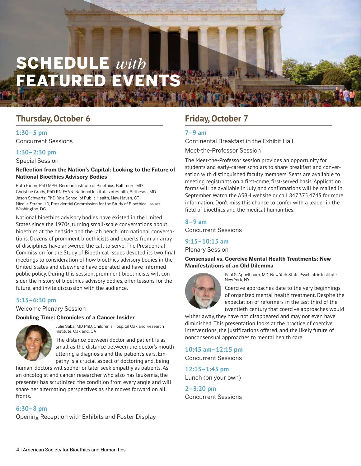# SCHEDULE *with* FEATURED EVENTS

# **Thursday, October 6**

#### **1:30–5 pm**

Concurrent Sessions

#### **1:30–2:30 pm**

Special Session

#### **Reflection from the Nation's Capital: Looking to the Future of National Bioethics Advisory Bodies**

Ruth Faden, PhD MPH, Berman Institute of Bioethics, Baltimore, MD Christine Grady, PhD RN FAAN, National Institutes of Health, Bethesda, MD Jason Schwartz, PhD, Yale School of Public Health, New Haven, CT Nicolle Strand, JD, Presidential Commission for the Study of Bioethical Issues, Washington, DC

National bioethics advisory bodies have existed in the United States since the 1970s, turning small-scale conversations about bioethics at the bedside and the lab bench into national conversations. Dozens of prominent bioethicists and experts from an array of disciplines have answered the call to serve. The Presidential Commission for the Study of Bioethical Issues devoted its two final meetings to consideration of how bioethics advisory bodies in the United States and elsewhere have operated and have informed public policy. During this session, prominent bioethicists will consider the history of bioethics advisory bodies, offer lessons for the future, and invite discussion with the audience.

#### **5:15–6:30 pm**

Welcome Plenary Session

#### **Doubling Time: Chronicles of a Cancer Insider**



Julie Saba, MD PhD, Children's Hospital Oakland Research Institute, Oakland, CA

The distance between doctor and patient is as small as the distance between the doctor's mouth uttering a diagnosis and the patient's ears. Empathy is a crucial aspect of doctoring and, being

human, doctors will sooner or later seek empathy as patients. As an oncologist and cancer researcher who also has leukemia, the presenter has scrutinized the condition from every angle and will share her alternating perspectives as she moves forward on all fronts.

#### **6:30–8 pm**

Opening Reception with Exhibits and Poster Display

# **Friday, October 7**

#### **7–9 am**

Continental Breakfast in the Exhibit Hall

Meet-the-Professor Session

The Meet-the-Professor session provides an opportunity for students and early-career scholars to share breakfast and conversation with distinguished faculty members. Seats are available to meeting registrants on a first-come, first-served basis. Application forms will be available in July, and confirmations will be mailed in September. Watch the ASBH website or call 847.375.4745 for more information. Don't miss this chance to confer with a leader in the field of bioethics and the medical humanities.

## **8–9 am**

Concurrent Sessions

#### **9:15–10:15 am**

Plenary Session

**Consensual vs. Coercive Mental Health Treatments: New Manifestations of an Old Dilemma**



Paul S. Appelbaum, MD, New York State Psychiatric Institute, New York, NY

Coercive approaches date to the very beginnings of organized mental health treatment. Despite the expectation of reformers in the last third of the twentieth century that coercive approaches would

wither away, they have not disappeared and may not even have diminished. This presentation looks at the practice of coercive interventions, the justifications offered, and the likely future of nonconsensual approaches to mental health care.

#### **10:45 am–12:15 pm**

Concurrent Sessions

**12:15–1:45 pm** Lunch (on your own)

**2–3:20 pm** Concurrent Sessions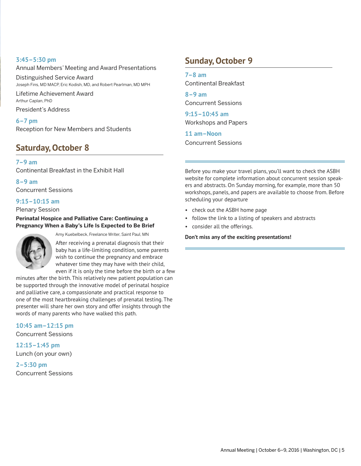#### **3:45–5:30 pm**

#### Annual Members' Meeting and Award Presentations

Distinguished Service Award Joseph Fins, MD MACP, Eric Kodish, MD, and Robert Pearlman, MD MPH

Lifetime Achievement Award Arthur Caplan, PhD President's Address

**6–7 pm**

Reception for New Members and Students

# **Saturday, October 8**

**7–9 am** Continental Breakfast in the Exhibit Hall

**8–9 am** Concurrent Sessions

#### **9:15–10:15 am**

Plenary Session

#### **Perinatal Hospice and Palliative Care: Continuing a Pregnancy When a Baby's Life Is Expected to Be Brief**



Amy Kuebelbeck, Freelance Writer, Saint Paul, MN

After receiving a prenatal diagnosis that their baby has a life-limiting condition, some parents wish to continue the pregnancy and embrace whatever time they may have with their child, even if it is only the time before the birth or a few

minutes after the birth. This relatively new patient population can be supported through the innovative model of perinatal hospice and palliative care, a compassionate and practical response to one of the most heartbreaking challenges of prenatal testing. The presenter will share her own story and offer insights through the words of many parents who have walked this path.

**10:45 am–12:15 pm** Concurrent Sessions

**12:15–1:45 pm** Lunch (on your own)

**2–5:30 pm** Concurrent Sessions

# **Sunday, October 9**

**7–8 am** Continental Breakfast

**8–9 am** Concurrent Sessions

**9:15–10:45 am** Workshops and Papers

**11 am–Noon** Concurrent Sessions

Before you make your travel plans, you'll want to check the ASBH website for complete information about concurrent session speakers and abstracts. On Sunday morning, for example, more than 50 workshops, panels, and papers are available to choose from. Before scheduling your departure

- check out the ASBH home page
- follow the link to a listing of speakers and abstracts
- consider all the offerings.

**Don't miss any of the exciting presentations!**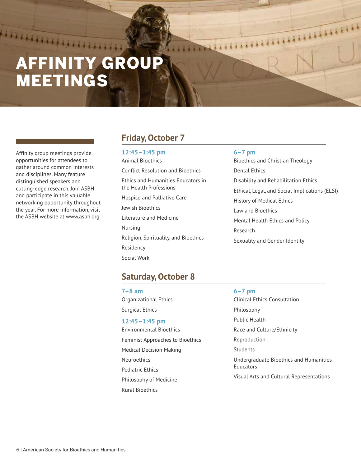# AFFINITY GROU MEETINGS

Affinity group meetings provide opportunities for attendees to gather around common interests and disciplines. Many feature distinguished speakers and cutting-edge research. Join ASBH and participate in this valuable networking opportunity throughout the year. For more information, visit the ASBH website at www.asbh.org.

**HARRISTER** 

# **Friday, October 7**

**12:45–1:45 pm** Animal Bioethics Conflict Resolution and Bioethics Ethics and Humanities Educators in the Health Professions Hospice and Palliative Care Jewish Bioethics Literature and Medicine Nursing Religion, Spirituality, and Bioethics Residency Social Work

#### **6–7 pm**

Bioethics and Christian Theology Dental Ethics Disability and Rehabilitation Ethics Ethical, Legal, and Social Implications (ELSI) History of Medical Ethics Law and Bioethics Mental Health Ethics and Policy Research Sexuality and Gender Identity

**THERMANY REAL PROPERTY** 

#### **Saturday, October 8**

**7–8 am** Organizational Ethics Surgical Ethics

#### **12:45–1:45 pm**

Environmental Bioethics Feminist Approaches to Bioethics Medical Decision Making **Neuroethics** Pediatric Ethics Philosophy of Medicine Rural Bioethics

#### **6–7 pm**

Clinical Ethics Consultation Philosophy Public Health Race and Culture/Ethnicity Reproduction **Students** Undergraduate Bioethics and Humanities Educators Visual Arts and Cultural Representations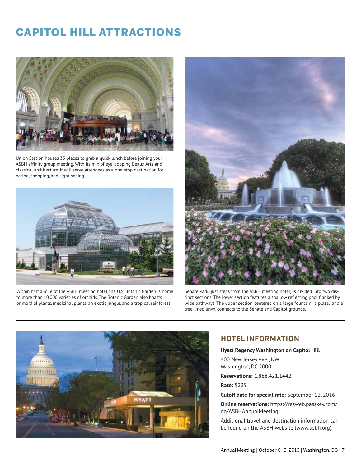# CAPITOL HILL ATTRACTIONS



Union Station houses 35 places to grab a quick lunch before joining your ASBH affinity group meeting. With its mix of eye-popping Beaux Arts and classical architecture, it will serve attendees as a one-stop destination for eating, shopping, and sight-seeing.



Within half a mile of the ASBH meeting hotel, the U.S. Botanic Garden is home to more than 10,000 varieties of orchids. The Botanic Garden also boasts primordial plants, medicinal plants, an exotic jungle, and a tropical rainforest.



Senate Park (just steps from the ASBH meeting hotel) is divided into two distinct sections. The lower section features a shallow reflecting pool flanked by wide pathways. The upper section, centered on a large fountain, a plaza, and a tree-lined lawn, connects to the Senate and Capitol grounds.



#### **HOTEL INFORMATION**

#### **Hyatt Regency Washington on Capitol Hill**

400 New Jersey Ave., NW Washington, DC 20001

**Reservations:** 1.888.421.1442

**Rate:** \$229

**Cutoff date for special rate:** September 12, 2016

**Online reservations:** https://resweb.passkey.com/ go/ASBHAnnualMeeting

Additional travel and destination information can be found on the ASBH website (www.asbh.org).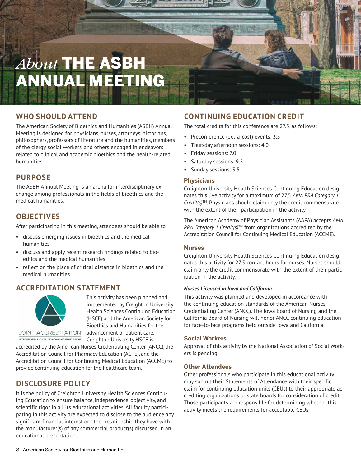# *About* THE ASBH ANNUAL MEETING

# **WHO SHOULD ATTEND**

The American Society of Bioethics and Humanities (ASBH) Annual Meeting is designed for physicians, nurses, attorneys, historians, philosophers, professors of literature and the humanities, members of the clergy, social workers, and others engaged in endeavors related to clinical and academic bioethics and the health-related humanities.

## **PURPOSE**

The ASBH Annual Meeting is an arena for interdisciplinary exchange among professionals in the fields of bioethics and the medical humanities.

# **OBJECTIVES**

After participating in this meeting, attendees should be able to

- discuss emerging issues in bioethics and the medical humanities
- discuss and apply recent research findings related to bioethics and the medical humanities
- reflect on the place of critical distance in bioethics and the medical humanities.

## **ACCREDITATION STATEMENT**



This activity has been planned and implemented by Creighton University Health Sciences Continuing Education (HSCE) and the American Society for Bioethics and Humanities for the advancement of patient care. Creighton University HSCE is

**JOINT ACCREDITATION"** INTERPROFESSIONAL CONTINUING EDUCATION

accredited by the American Nurses Credentialing Center (ANCC), the Accreditation Council for Pharmacy Education (ACPE), and the Accreditation Council for Continuing Medical Education (ACCME) to provide continuing education for the healthcare team.

# **DISCLOSURE POLICY**

It is the policy of Creighton University Health Sciences Continuing Education to ensure balance, independence, objectivity, and scientific rigor in all its educational activities. All faculty participating in this activity are expected to disclose to the audience any significant financial interest or other relationship they have with the manufacturer(s) of any commercial product(s) discussed in an educational presentation.

# **CONTINUING EDUCATION CREDIT**

The total credits for this conference are 27.5, as follows:

- Preconference (extra-cost) events: 3.5
- Thursday afternoon sessions: 4.0
- Friday sessions: 7.0
- Saturday sessions: 9.5
- Sunday sessions: 3.5

#### **Physicians**

Creighton University Health Sciences Continuing Education designates this live activity for a maximum of 27.5 *AMA PRA Category 1 Credit(s)*TM. Physicians should claim only the credit commensurate with the extent of their participation in the activity.

The American Academy of Physician Assistants (AAPA) accepts *AMA PRA Category 1 Credit(s)*™ from organizations accredited by the Accreditation Council for Continuing Medical Education (ACCME).

#### **Nurses**

Creighton University Health Sciences Continuing Education designates this activity for 27.5 contact hours for nurses. Nurses should claim only the credit commensurate with the extent of their participation in the activity.

#### *Nurses Licensed in Iowa and California*

This activity was planned and developed in accordance with the continuing education standards of the American Nurses Credentialing Center (ANCC). The Iowa Board of Nursing and the California Board of Nursing will honor ANCC continuing education for face-to-face programs held outside Iowa and California.

#### **Social Workers**

Approval of this activity by the National Association of Social Workers is pending.

#### **Other Attendees**

Other professionals who participate in this educational activity may submit their Statements of Attendance with their specific claim for continuing education units (CEUs) to their appropriate accrediting organizations or state boards for consideration of credit. Those participants are responsible for determining whether this activity meets the requirements for acceptable CEUs.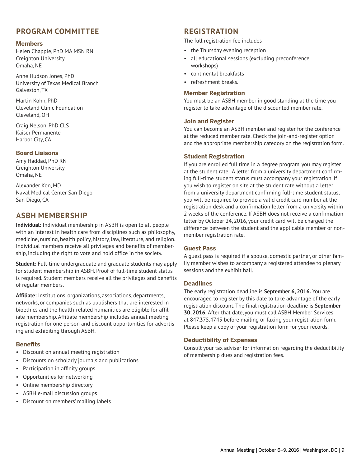## **PROGRAM COMMITTEE**

#### **Members**

Helen Chapple, PhD MA MSN RN Creighton University Omaha, NE

Anne Hudson Jones, PhD University of Texas Medical Branch Galveston, TX

Martin Kohn, PhD Cleveland Clinic Foundation Cleveland, OH

Craig Nelson, PhD CLS Kaiser Permanente Harbor City, CA

#### **Board Liaisons**

Amy Haddad, PhD RN Creighton University Omaha, NE

Alexander Kon, MD Naval Medical Center San Diego San Diego, CA

#### **ASBH MEMBERSHIP**

**Individual:** Individual membership in ASBH is open to all people with an interest in health care from disciplines such as philosophy, medicine, nursing, health policy, history, law, literature, and religion. Individual members receive all privileges and benefits of membership, including the right to vote and hold office in the society.

**Student:** Full-time undergraduate and graduate students may apply for student membership in ASBH. Proof of full-time student status is required. Student members receive all the privileges and benefits of regular members.

**Affiliate:** Institutions, organizations, associations, departments, networks, or companies such as publishers that are interested in bioethics and the health-related humanities are eligible for affiliate membership. Affiliate membership includes annual meeting registration for one person and discount opportunities for advertising and exhibiting through ASBH.

#### **Benefits**

- Discount on annual meeting registration
- Discounts on scholarly journals and publications
- Participation in affinity groups
- Opportunities for networking
- Online membership directory
- ASBH e-mail discussion groups
- Discount on members' mailing labels

#### **REGISTRATION**

The full registration fee includes

- the Thursday evening reception
- all educational sessions (excluding preconference workshops)
- continental breakfasts
- refreshment breaks.

#### **Member Registration**

You must be an ASBH member in good standing at the time you register to take advantage of the discounted member rate.

#### **Join and Register**

You can become an ASBH member and register for the conference at the reduced member rate. Check the join-and-register option and the appropriate membership category on the registration form.

#### **Student Registration**

If you are enrolled full time in a degree program, you may register at the student rate. A letter from a university department confirming full-time student status must accompany your registration. If you wish to register on site at the student rate without a letter from a university department confirming full-time student status, you will be required to provide a valid credit card number at the registration desk and a confirmation letter from a university within 2 weeks of the conference. If ASBH does not receive a confirmation letter by October 24, 2016, your credit card will be charged the difference between the student and the applicable member or nonmember registration rate.

#### **Guest Pass**

A guest pass is required if a spouse, domestic partner, or other family member wishes to accompany a registered attendee to plenary sessions and the exhibit hall.

#### **Deadlines**

The early registration deadline is **September 6, 2016.** You are encouraged to register by this date to take advantage of the early registration discount. The final registration deadline is **September 30, 2016.** After that date, you must call ASBH Member Services at 847.375.4745 before mailing or faxing your registration form. Please keep a copy of your registration form for your records.

#### **Deductibility of Expenses**

Consult your tax adviser for information regarding the deductibility of membership dues and registration fees.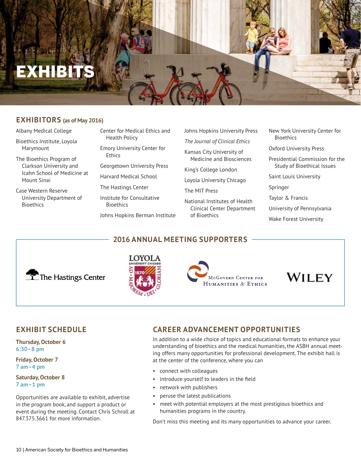# **EXHIBITS**

#### **EXHIBITORS (as of May 2016)**

- Albany Medical College
- Bioethics Institute, Loyola Marymount
- The Bioethics Program of Clarkson University and Icahn School of Medicine at Mount Sinai
- Case Western Reserve University Department of Bioethics
- Center for Medical Ethics and Health Policy
- Emory University Center for Ethics
- Georgetown University Press
- Harvard Medical School
- The Hastings Center
- Institute for Consultative Bioethics
- Johns Hopkins Berman Institute
- Johns Hopkins University Press
- *The Journal of Clinical Ethics* Kansas City University of
- Medicine and Biosciences
- King's College London
- Loyola University Chicago
- The MIT Press
- National Institutes of Health Clinical Center Department of Bioethics
- New York University Center for Bioethics
- Oxford University Press
- Presidential Commission for the Study of Bioethical Issues
- Saint Louis University
- Springer
- Taylor & Francis
- University of Pennsylvania
- Wake Forest University

**2016 ANNUAL MEETING SUPPORTERS**







WILEY

## **EXHIBIT SCHEDULE**

**Thursday, October 6 6:30–8 pm**

**Friday, October 7 7 am–4 pm**

**Saturday, October 8 7 am–1 pm**

Opportunities are available to exhibit, advertise in the program book, and support a product or event during the meeting. Contact Chris Schroll at 847.375.3661 for more information.

# **CAREER ADVANCEMENT OPPORTUNITIES**

In addition to a wide choice of topics and educational formats to enhance your understanding of bioethics and the medical humanities, the ASBH annual meeting offers many opportunities for professional development. The exhibit hall is at the center of the conference, where you can

- connect with colleagues
- introduce yourself to leaders in the field
- network with publishers
- peruse the latest publications
- meet with potential employers at the most prestigious bioethics and humanities programs in the country.

Don't miss this meeting and its many opportunities to advance your career.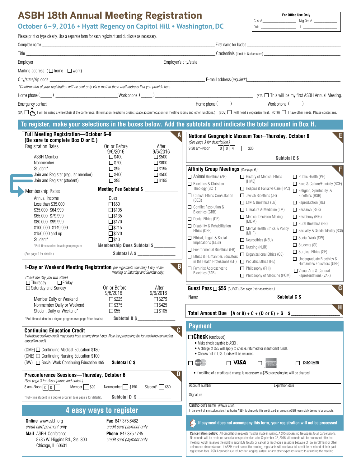| <b>ASBH 18th Annual Meeting Registration</b>                                      |                                                                                                                                                                                                                               |                                                                                                                                                                                            |                                                          |                                                                         |                                                                                                                                                                                                                                                                                                                                                                                                                                                                                                                                                                                                                                                          | For Office Use Only                                       |  |
|-----------------------------------------------------------------------------------|-------------------------------------------------------------------------------------------------------------------------------------------------------------------------------------------------------------------------------|--------------------------------------------------------------------------------------------------------------------------------------------------------------------------------------------|----------------------------------------------------------|-------------------------------------------------------------------------|----------------------------------------------------------------------------------------------------------------------------------------------------------------------------------------------------------------------------------------------------------------------------------------------------------------------------------------------------------------------------------------------------------------------------------------------------------------------------------------------------------------------------------------------------------------------------------------------------------------------------------------------------------|-----------------------------------------------------------|--|
| October 6-9, 2016 . Hyatt Regency on Capitol Hill . Washington, DC                |                                                                                                                                                                                                                               |                                                                                                                                                                                            |                                                          |                                                                         |                                                                                                                                                                                                                                                                                                                                                                                                                                                                                                                                                                                                                                                          |                                                           |  |
|                                                                                   | Please print or type clearly. Use a separate form for each registrant and duplicate as necessary.                                                                                                                             |                                                                                                                                                                                            |                                                          |                                                                         |                                                                                                                                                                                                                                                                                                                                                                                                                                                                                                                                                                                                                                                          |                                                           |  |
|                                                                                   |                                                                                                                                                                                                                               |                                                                                                                                                                                            |                                                          |                                                                         |                                                                                                                                                                                                                                                                                                                                                                                                                                                                                                                                                                                                                                                          |                                                           |  |
|                                                                                   |                                                                                                                                                                                                                               |                                                                                                                                                                                            |                                                          |                                                                         |                                                                                                                                                                                                                                                                                                                                                                                                                                                                                                                                                                                                                                                          |                                                           |  |
|                                                                                   |                                                                                                                                                                                                                               |                                                                                                                                                                                            |                                                          |                                                                         |                                                                                                                                                                                                                                                                                                                                                                                                                                                                                                                                                                                                                                                          |                                                           |  |
|                                                                                   |                                                                                                                                                                                                                               |                                                                                                                                                                                            |                                                          |                                                                         |                                                                                                                                                                                                                                                                                                                                                                                                                                                                                                                                                                                                                                                          |                                                           |  |
|                                                                                   |                                                                                                                                                                                                                               |                                                                                                                                                                                            |                                                          |                                                                         |                                                                                                                                                                                                                                                                                                                                                                                                                                                                                                                                                                                                                                                          |                                                           |  |
|                                                                                   | *Confirmation of your registration will be sent only via e-mail to the e-mail address that you provide here.                                                                                                                  |                                                                                                                                                                                            |                                                          |                                                                         |                                                                                                                                                                                                                                                                                                                                                                                                                                                                                                                                                                                                                                                          |                                                           |  |
|                                                                                   |                                                                                                                                                                                                                               |                                                                                                                                                                                            |                                                          |                                                                         |                                                                                                                                                                                                                                                                                                                                                                                                                                                                                                                                                                                                                                                          |                                                           |  |
|                                                                                   |                                                                                                                                                                                                                               |                                                                                                                                                                                            |                                                          |                                                                         |                                                                                                                                                                                                                                                                                                                                                                                                                                                                                                                                                                                                                                                          |                                                           |  |
|                                                                                   | (SA) 그 내 I will be using a wheelchair at the conference. (Information needed to project space accommodation for meeting rooms and other functions.) (SDV) I I will need a vegetarian meal. (OTH) I have other needs. Please c |                                                                                                                                                                                            |                                                          |                                                                         |                                                                                                                                                                                                                                                                                                                                                                                                                                                                                                                                                                                                                                                          |                                                           |  |
|                                                                                   | To register, make your selections in the boxes below. Add the subtotals and indicate the total amount in Box H.                                                                                                               |                                                                                                                                                                                            |                                                          |                                                                         |                                                                                                                                                                                                                                                                                                                                                                                                                                                                                                                                                                                                                                                          |                                                           |  |
|                                                                                   | Full Meeting Registration-October 6-9                                                                                                                                                                                         |                                                                                                                                                                                            | Е<br>National Geographic Museum Tour-Thursday, October 6 |                                                                         |                                                                                                                                                                                                                                                                                                                                                                                                                                                                                                                                                                                                                                                          |                                                           |  |
|                                                                                   | (Be sure to complete Box D or E.)<br><b>Registration Rates</b>                                                                                                                                                                | On or Before<br>After<br>9/6/2016<br>9/6/2016<br>$\square$ \$400<br>$\square$ \$500                                                                                                        |                                                          | (See page 3 for description.)<br>9:30 am-Noon<br> 0  0  4               | $\frac{1}{30}$                                                                                                                                                                                                                                                                                                                                                                                                                                                                                                                                                                                                                                           |                                                           |  |
|                                                                                   | <b>ASBH Member</b>                                                                                                                                                                                                            |                                                                                                                                                                                            |                                                          | Subtotal E \$                                                           |                                                                                                                                                                                                                                                                                                                                                                                                                                                                                                                                                                                                                                                          |                                                           |  |
|                                                                                   | Nonmember                                                                                                                                                                                                                     | $\Box$ \$700                                                                                                                                                                               | $\square$ \$800                                          |                                                                         |                                                                                                                                                                                                                                                                                                                                                                                                                                                                                                                                                                                                                                                          |                                                           |  |
|                                                                                   | Student*<br>Join and Register (regular member)                                                                                                                                                                                | $\Box$ \$95<br>$\square$ \$400                                                                                                                                                             | $\square$ \$195<br>$\square$ \$500                       | <b>Affinity Group Meetings</b> (See page 6.)                            |                                                                                                                                                                                                                                                                                                                                                                                                                                                                                                                                                                                                                                                          | . F                                                       |  |
|                                                                                   | Join and Register (student)                                                                                                                                                                                                   | $\square$ \$95                                                                                                                                                                             | $\square$ \$195                                          | $\Box$ Animal Bioethics (AB)<br>Bioethics & Christian                   | History of Medical Ethics<br>(HME)                                                                                                                                                                                                                                                                                                                                                                                                                                                                                                                                                                                                                       | Public Health (PH)<br>Race & Culture/Ethnicity (RCE)      |  |
|                                                                                   | Membership Rates                                                                                                                                                                                                              | Meeting Fee Subtotal \$                                                                                                                                                                    |                                                          | Theology (BCT)                                                          | $\Box$ Hospice & Palliative Care (HPC)                                                                                                                                                                                                                                                                                                                                                                                                                                                                                                                                                                                                                   | Religion, Spirituality, &                                 |  |
|                                                                                   | Annual Income                                                                                                                                                                                                                 | Dues                                                                                                                                                                                       |                                                          | □ Clinical Ethics Consultation<br>(CEC)                                 | $\Box$ Jewish Bioethics (JB)<br>$\Box$ Law & Bioethics (LB)                                                                                                                                                                                                                                                                                                                                                                                                                                                                                                                                                                                              | Bioethics (RSB)<br>$\Box$ Reproduction (RE)               |  |
|                                                                                   | Less than \$35,000<br>\$35,000-\$64,999                                                                                                                                                                                       | $\square$ \$60<br>$\Box$ \$105                                                                                                                                                             |                                                          | □ Conflict Resolution &                                                 | $\Box$ Literature & Medicine (LM)                                                                                                                                                                                                                                                                                                                                                                                                                                                                                                                                                                                                                        | $\Box$ Research (RES)                                     |  |
|                                                                                   | \$65,000-\$79,999                                                                                                                                                                                                             | $\square$ \$135                                                                                                                                                                            |                                                          | Bioethics (CRB)<br>$\Box$ Dental Ethics (DE)                            | Medical Decision Making                                                                                                                                                                                                                                                                                                                                                                                                                                                                                                                                                                                                                                  | $\Box$ Residency (RIG)                                    |  |
|                                                                                   | \$80,000-\$99,999<br>\$100,000-\$149,999                                                                                                                                                                                      | $\square$ \$170<br>$\Box$ \$215                                                                                                                                                            |                                                          | □ Disability & Rehabilitation                                           | (MDM)<br>Mental Health Ethics & Policy                                                                                                                                                                                                                                                                                                                                                                                                                                                                                                                                                                                                                   | $\Box$ Rural Bioethics (RB)                               |  |
|                                                                                   | \$150,000 and up                                                                                                                                                                                                              | $\square$ \$270                                                                                                                                                                            |                                                          | Ethics (DRE)                                                            | (MHP)                                                                                                                                                                                                                                                                                                                                                                                                                                                                                                                                                                                                                                                    | Sexuality & Gender Identity (SGI)                         |  |
|                                                                                   | Student*<br>*Full-time student in a degree program                                                                                                                                                                            | $\square$ \$40<br><b>Membership Dues Subtotal \$</b>                                                                                                                                       |                                                          | Ethical, Legal, & Social<br>Implications (ELSI)                         | $\Box$ Neuroethics (NEU)                                                                                                                                                                                                                                                                                                                                                                                                                                                                                                                                                                                                                                 | Social Work (SW)<br>$\Box$ Students (SI)                  |  |
|                                                                                   | (See page 9 for details.)                                                                                                                                                                                                     | Subtotal A \$                                                                                                                                                                              |                                                          | Environmental Bioethics (EB)                                            | Nursing (NUR)<br>Organizational Ethics (OE)                                                                                                                                                                                                                                                                                                                                                                                                                                                                                                                                                                                                              | $\Box$ Surgical Ethics (SE)                               |  |
|                                                                                   |                                                                                                                                                                                                                               |                                                                                                                                                                                            |                                                          | Ethics & Humanities Educators<br>in the Health Professions (EH)         | $\Box$ Pediatric Ethics (PE)                                                                                                                                                                                                                                                                                                                                                                                                                                                                                                                                                                                                                             | □ Undergraduate Bioethics &<br>Humanities Educators (UBE) |  |
|                                                                                   | 1-Day or Weekend Meeting Registration (for registrants attending 1 day of the                                                                                                                                                 | meeting or Saturday and Sunday only)                                                                                                                                                       | $\mathbf{B}$                                             | $\Box$ Feminist Approaches to<br>Bioethics (FAB)                        | $\Box$ Philosophy (PHI)                                                                                                                                                                                                                                                                                                                                                                                                                                                                                                                                                                                                                                  | □ Visual Arts & Cultural                                  |  |
|                                                                                   | Check the day you will attend.<br>$\Box$ Thursday                                                                                                                                                                             |                                                                                                                                                                                            |                                                          |                                                                         | Philosophy of Medicine (POM)                                                                                                                                                                                                                                                                                                                                                                                                                                                                                                                                                                                                                             | Representations (VAR)                                     |  |
|                                                                                   | Saturday and Sunday                                                                                                                                                                                                           | $\Box$ Friday<br>On or Before<br>After<br>9/6/2016<br>9/6/2016<br>Member Daily or Weekend<br>$\square$ \$225<br>$\square$ \$275<br>$\square$ \$375<br>□\$425<br>Nonmember Daily or Weekend |                                                          | G<br>Guest Pass <sup>1</sup> \$55 (GUEST) (See page 9 for description.) |                                                                                                                                                                                                                                                                                                                                                                                                                                                                                                                                                                                                                                                          |                                                           |  |
|                                                                                   |                                                                                                                                                                                                                               |                                                                                                                                                                                            |                                                          |                                                                         | Subtotal G \$                                                                                                                                                                                                                                                                                                                                                                                                                                                                                                                                                                                                                                            |                                                           |  |
|                                                                                   |                                                                                                                                                                                                                               |                                                                                                                                                                                            |                                                          |                                                                         |                                                                                                                                                                                                                                                                                                                                                                                                                                                                                                                                                                                                                                                          | $\overline{\mathbf{H}}$                                   |  |
|                                                                                   | Student Daily or Weekend*<br>*Full-time student in a degree program (see page 9 for details).                                                                                                                                 | $\square$ \$55<br>Subtotal B \$                                                                                                                                                            | □\$105                                                   |                                                                         | Total Amount Due $(A \text{ or } B) + C + (D \text{ or } E) + G$ \$                                                                                                                                                                                                                                                                                                                                                                                                                                                                                                                                                                                      |                                                           |  |
|                                                                                   | <b>Payment</b>                                                                                                                                                                                                                |                                                                                                                                                                                            |                                                          |                                                                         |                                                                                                                                                                                                                                                                                                                                                                                                                                                                                                                                                                                                                                                          |                                                           |  |
|                                                                                   | <b>Continuing Education Credit</b><br>Individuals seeking credit may select from among three types. Note the processing fee for receiving continuing                                                                          |                                                                                                                                                                                            |                                                          | $\Box$ Check (enclosed)                                                 |                                                                                                                                                                                                                                                                                                                                                                                                                                                                                                                                                                                                                                                          |                                                           |  |
|                                                                                   | education credit.                                                                                                                                                                                                             |                                                                                                                                                                                            |                                                          | • Make check payable to ASBH.                                           |                                                                                                                                                                                                                                                                                                                                                                                                                                                                                                                                                                                                                                                          |                                                           |  |
|                                                                                   | (CME) □ Continuing Medical Education \$180<br>(CNE) □ Continuing Nursing Education \$100                                                                                                                                      |                                                                                                                                                                                            |                                                          | • Checks not in U.S. funds will be returned.                            | • A charge of \$25 will apply to checks returned for insufficient funds.                                                                                                                                                                                                                                                                                                                                                                                                                                                                                                                                                                                 |                                                           |  |
|                                                                                   | Subtotal C \$<br>(SW) <a>[Social Work Continuing Education \$65]</a>                                                                                                                                                          |                                                                                                                                                                                            |                                                          | MasterCard<br>$\Box$ VISA<br>$\Box$                                     |                                                                                                                                                                                                                                                                                                                                                                                                                                                                                                                                                                                                                                                          | <b>DISCOVER</b>                                           |  |
|                                                                                   | D<br>Preconference Sessions-Thursday, October 6                                                                                                                                                                               |                                                                                                                                                                                            |                                                          |                                                                         | • If rebilling of a credit card charge is necessary, a \$25 processing fee will be charged.                                                                                                                                                                                                                                                                                                                                                                                                                                                                                                                                                              |                                                           |  |
|                                                                                   | (See page 3 for descriptions and codes.)<br>Nonmember <sub>3150</sub><br>Student* $\Box$ \$50<br>Member   \$90                                                                                                                |                                                                                                                                                                                            |                                                          |                                                                         |                                                                                                                                                                                                                                                                                                                                                                                                                                                                                                                                                                                                                                                          |                                                           |  |
|                                                                                   |                                                                                                                                                                                                                               |                                                                                                                                                                                            |                                                          | Account number                                                          | <b>Expiration date</b>                                                                                                                                                                                                                                                                                                                                                                                                                                                                                                                                                                                                                                   |                                                           |  |
| Subtotal D \$<br>*Full-time student in a degree program (see page 9 for details). |                                                                                                                                                                                                                               |                                                                                                                                                                                            |                                                          | Signature                                                               |                                                                                                                                                                                                                                                                                                                                                                                                                                                                                                                                                                                                                                                          |                                                           |  |
|                                                                                   | 4 easy ways to register                                                                                                                                                                                                       | Cardholder's name (Please print.)<br>In the event of a miscalculation, I authorize ASBH to charge to this credit card an amount ASBH reasonably deems to be accurate.                      |                                                          |                                                                         |                                                                                                                                                                                                                                                                                                                                                                                                                                                                                                                                                                                                                                                          |                                                           |  |
|                                                                                   | <b>Online</b> www.asbh.org<br>credit card payment only                                                                                                                                                                        | Fax 847.375.6482<br>credit card payment only                                                                                                                                               |                                                          |                                                                         | If payment does not accompany this form, your registration will not be processed.                                                                                                                                                                                                                                                                                                                                                                                                                                                                                                                                                                        |                                                           |  |
|                                                                                   | <b>Mail</b> ASBH Conference<br>8735 W. Higgins Rd., Ste. 300<br>Chicago, IL 60631                                                                                                                                             | Phone 847.375.4745<br>credit card payment only                                                                                                                                             |                                                          |                                                                         | <b>Cancellation policy:</b> All cancellation requests must be made in writing. A \$75 processing fee applies to all cancellations.<br>No refunds will be made on cancellations postmarked after September 22, 2016. All refunds will be processed after the<br>meeting. ASBH reserves the right to substitute faculty or cancel or reschedule sessions because of low enrollment or other<br>unforeseen circumstances. If ASBH must cancel the meeting, registrants will receive a full credit for or refund of their paid<br>registration fees. ASBH cannot issue refunds for lodging, airfare, or any other expenses related to attending the meeting. |                                                           |  |

F